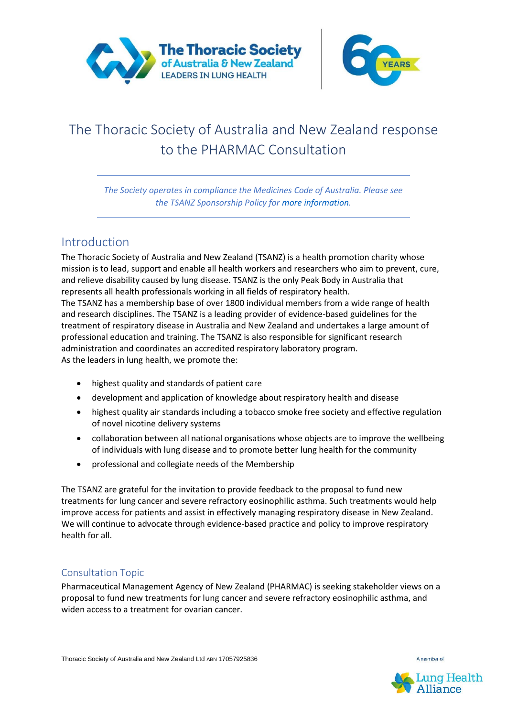



# The Thoracic Society of Australia and New Zealand response to the PHARMAC Consultation

*The Society operates in compliance the Medicines Code of Australia. Please see the TSANZ Sponsorship Policy for more information.*

## Introduction

The Thoracic Society of Australia and New Zealand (TSANZ) is a health promotion charity whose mission is to lead, support and enable all health workers and researchers who aim to prevent, cure, and relieve disability caused by lung disease. TSANZ is the only Peak Body in Australia that represents all health professionals working in all fields of respiratory health. The TSANZ has a membership base of over 1800 individual members from a wide range of health and research disciplines. The TSANZ is a leading provider of evidence-based guidelines for the treatment of respiratory disease in Australia and New Zealand and undertakes a large amount of professional education and training. The TSANZ is also responsible for significant research administration and coordinates an accredited respiratory laboratory program. As the leaders in lung health, we promote the:

- highest quality and standards of patient care
- development and application of knowledge about respiratory health and disease
- highest quality air standards including a tobacco smoke free society and effective regulation of novel nicotine delivery systems
- collaboration between all national organisations whose objects are to improve the wellbeing of individuals with lung disease and to promote better lung health for the community
- professional and collegiate needs of the Membership

The TSANZ are grateful for the invitation to provide feedback to the proposal to fund new treatments for lung cancer and severe refractory eosinophilic asthma. Such treatments would help improve access for patients and assist in effectively managing respiratory disease in New Zealand. We will continue to advocate through evidence-based practice and policy to improve respiratory health for all.

#### Consultation Topic

Pharmaceutical Management Agency of New Zealand (PHARMAC) is seeking stakeholder views on a proposal to fund new treatments for lung cancer and severe refractory eosinophilic asthma, and widen access to a treatment for ovarian cancer.



A member of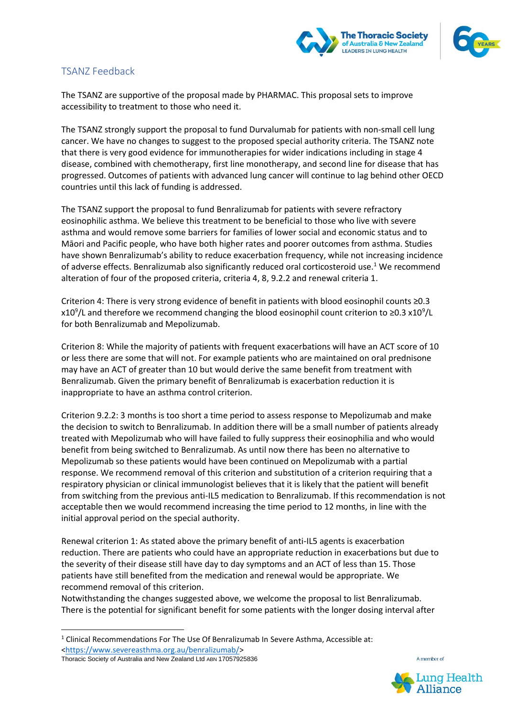



#### TSANZ Feedback

The TSANZ are supportive of the proposal made by PHARMAC. This proposal sets to improve accessibility to treatment to those who need it.

The TSANZ strongly support the proposal to fund Durvalumab for patients with non-small cell lung cancer. We have no changes to suggest to the proposed special authority criteria. The TSANZ note that there is very good evidence for immunotherapies for wider indications including in stage 4 disease, combined with chemotherapy, first line monotherapy, and second line for disease that has progressed. Outcomes of patients with advanced lung cancer will continue to lag behind other OECD countries until this lack of funding is addressed.

The TSANZ support the proposal to fund Benralizumab for patients with severe refractory eosinophilic asthma. We believe this treatment to be beneficial to those who live with severe asthma and would remove some barriers for families of lower social and economic status and to Māori and Pacific people, who have both higher rates and poorer outcomes from asthma. Studies have shown Benralizumab's ability to reduce exacerbation frequency, while not increasing incidence of adverse effects. Benralizumab also significantly reduced oral corticosteroid use.<sup>1</sup> We recommend alteration of four of the proposed criteria, criteria 4, 8, 9.2.2 and renewal criteria 1.

Criterion 4: There is very strong evidence of benefit in patients with blood eosinophil counts ≥0.3 x10<sup>9</sup>/L and therefore we recommend changing the blood eosinophil count criterion to ≥0.3 x10<sup>9</sup>/L for both Benralizumab and Mepolizumab.

Criterion 8: While the majority of patients with frequent exacerbations will have an ACT score of 10 or less there are some that will not. For example patients who are maintained on oral prednisone may have an ACT of greater than 10 but would derive the same benefit from treatment with Benralizumab. Given the primary benefit of Benralizumab is exacerbation reduction it is inappropriate to have an asthma control criterion.

Criterion 9.2.2: 3 months is too short a time period to assess response to Mepolizumab and make the decision to switch to Benralizumab. In addition there will be a small number of patients already treated with Mepolizumab who will have failed to fully suppress their eosinophilia and who would benefit from being switched to Benralizumab. As until now there has been no alternative to Mepolizumab so these patients would have been continued on Mepolizumab with a partial response. We recommend removal of this criterion and substitution of a criterion requiring that a respiratory physician or clinical immunologist believes that it is likely that the patient will benefit from switching from the previous anti-IL5 medication to Benralizumab. If this recommendation is not acceptable then we would recommend increasing the time period to 12 months, in line with the initial approval period on the special authority.

Renewal criterion 1: As stated above the primary benefit of anti-IL5 agents is exacerbation reduction. There are patients who could have an appropriate reduction in exacerbations but due to the severity of their disease still have day to day symptoms and an ACT of less than 15. Those patients have still benefited from the medication and renewal would be appropriate. We recommend removal of this criterion.

Notwithstanding the changes suggested above, we welcome the proposal to list Benralizumab. There is the potential for significant benefit for some patients with the longer dosing interval after

Thoracic Society of Australia and New Zealand Ltd ABN 17057925836



A member of

<sup>&</sup>lt;sup>1</sup> Clinical Recommendations For The Use Of Benralizumab In [Severe Asthma,](https://www.severeasthma.org.au/) Accessible at: [<https://www.severeasthma.org.au/benralizumab/>](https://www.severeasthma.org.au/benralizumab/)